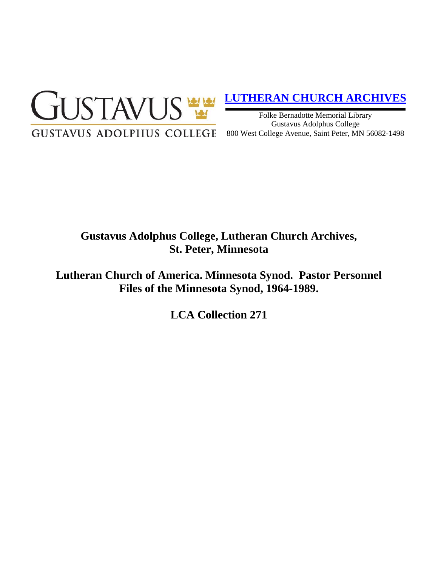

## **[LUTHERAN CHURCH ARCHIVES](http://gustavus.edu/academics/library/archives/)**

Folke Bernadotte Memorial Library Gustavus Adolphus College 800 West College Avenue, Saint Peter, MN 56082-1498

# **Gustavus Adolphus College, Lutheran Church Archives, St. Peter, Minnesota**

**Lutheran Church of America. Minnesota Synod. Pastor Personnel Files of the Minnesota Synod, 1964-1989.**

**LCA Collection 271**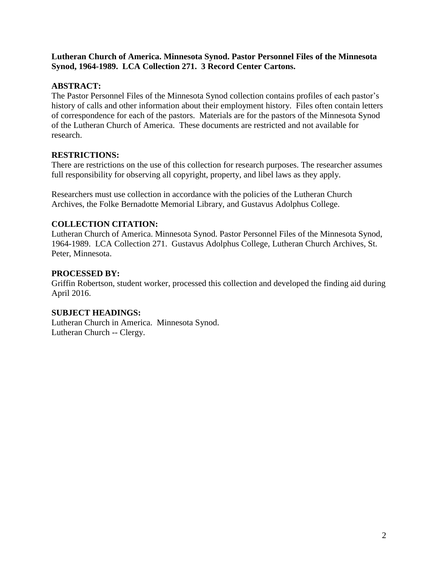#### **Lutheran Church of America. Minnesota Synod. Pastor Personnel Files of the Minnesota Synod, 1964-1989. LCA Collection 271. 3 Record Center Cartons.**

## **ABSTRACT:**

The Pastor Personnel Files of the Minnesota Synod collection contains profiles of each pastor's history of calls and other information about their employment history. Files often contain letters of correspondence for each of the pastors. Materials are for the pastors of the Minnesota Synod of the Lutheran Church of America. These documents are restricted and not available for research.

### **RESTRICTIONS:**

There are restrictions on the use of this collection for research purposes. The researcher assumes full responsibility for observing all copyright, property, and libel laws as they apply.

Researchers must use collection in accordance with the policies of the Lutheran Church Archives, the Folke Bernadotte Memorial Library, and Gustavus Adolphus College.

### **COLLECTION CITATION:**

Lutheran Church of America. Minnesota Synod. Pastor Personnel Files of the Minnesota Synod, 1964-1989. LCA Collection 271. Gustavus Adolphus College, Lutheran Church Archives, St. Peter, Minnesota.

#### **PROCESSED BY:**

Griffin Robertson, student worker, processed this collection and developed the finding aid during April 2016.

#### **SUBJECT HEADINGS:**

Lutheran Church in America. Minnesota Synod. Lutheran Church -- Clergy.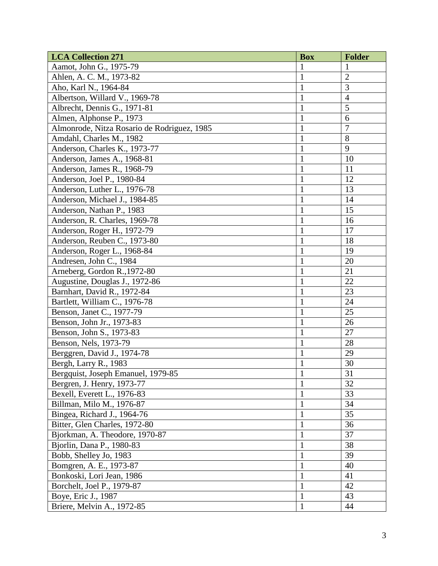| <b>LCA Collection 271</b>                   | <b>Box</b>     | <b>Folder</b>   |
|---------------------------------------------|----------------|-----------------|
| Aamot, John G., 1975-79                     |                |                 |
| Ahlen, A. C. M., 1973-82                    | $\mathbf{1}$   | $\overline{2}$  |
| Aho, Karl N., 1964-84                       | 1              | 3               |
| Albertson, Willard V., 1969-78              | $\mathbf{1}$   | $\overline{4}$  |
| Albrecht, Dennis G., 1971-81                | $\mathbf{1}$   | $\overline{5}$  |
| Almen, Alphonse P., 1973                    | $\mathbf{1}$   | 6               |
| Almonrode, Nitza Rosario de Rodriguez, 1985 | $\mathbf{1}$   | 7               |
| Amdahl, Charles M., 1982                    | 1              | 8               |
| Anderson, Charles K., 1973-77               | $\mathbf{1}$   | 9               |
| Anderson, James A., 1968-81                 | $\mathbf{1}$   | 10              |
| Anderson, James R., 1968-79                 | 1              | 11              |
| Anderson, Joel P., 1980-84                  | 1              | 12              |
| Anderson, Luther L., 1976-78                | 1              | 13              |
| Anderson, Michael J., 1984-85               | $\mathbf{1}$   | 14              |
| Anderson, Nathan P., 1983                   | $\mathbf{1}$   | 15              |
| Anderson, R. Charles, 1969-78               | $\mathbf{1}$   | 16              |
| Anderson, Roger H., 1972-79                 | $\mathbf{1}$   | 17              |
| Anderson, Reuben C., 1973-80                | $\mathbf{1}$   | 18              |
| Anderson, Roger L., 1968-84                 | $\mathbf{1}$   | 19              |
| Andresen, John C., 1984                     | $\mathbf{1}$   | 20              |
| Arneberg, Gordon R., 1972-80                | 1              | 21              |
| Augustine, Douglas J., 1972-86              | 1              | 22              |
| Barnhart, David R., 1972-84                 | $\mathbf{1}$   | 23              |
| Bartlett, William C., 1976-78               | $\mathbf{1}$   | 24              |
| Benson, Janet C., 1977-79                   | $\mathbf{1}$   | 25              |
| Benson, John Jr., 1973-83                   | $\mathbf{1}$   | 26              |
| Benson, John S., 1973-83                    | 1              | 27              |
| Benson, Nels, 1973-79                       | $\mathbf{1}$   | 28              |
| Berggren, David J., 1974-78                 | $\mathbf{1}$   | 29              |
| Bergh, Larry R., 1983                       | $\mathbf{1}$   | 30              |
| Bergquist, Joseph Emanuel, 1979-85          | $\overline{1}$ | $\overline{31}$ |
| Bergren, J. Henry, 1973-77                  | $\mathbf{1}$   | 32              |
| Bexell, Everett L., 1976-83                 | $\mathbf{1}$   | 33              |
| Billman, Milo M., 1976-87                   | 1              | 34              |
| Bingea, Richard J., 1964-76                 | $\mathbf{1}$   | 35              |
| Bitter, Glen Charles, 1972-80               | $\mathbf{1}$   | 36              |
| Bjorkman, A. Theodore, 1970-87              | $\mathbf{1}$   | 37              |
| Bjorlin, Dana P., 1980-83                   | $\mathbf{1}$   | 38              |
| Bobb, Shelley Jo, 1983                      | $\mathbf{1}$   | 39              |
| Bomgren, A. E., 1973-87                     | 1              | 40              |
| Bonkoski, Lori Jean, 1986                   | $\mathbf{1}$   | 41              |
| Borchelt, Joel P., 1979-87                  | $\mathbf{1}$   | 42              |
| Boye, Eric J., 1987                         | $\mathbf{1}$   | 43              |
| Briere, Melvin A., 1972-85                  | $\mathbf{1}$   | 44              |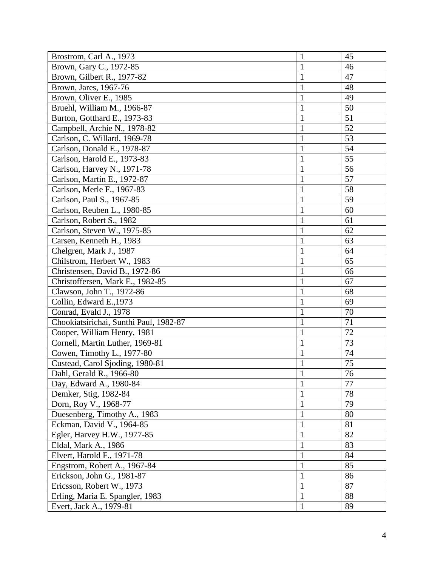| Brostrom, Carl A., 1973                | $\mathbf{1}$ | 45              |
|----------------------------------------|--------------|-----------------|
| Brown, Gary C., 1972-85                | 1            | 46              |
| Brown, Gilbert R., 1977-82             | $\mathbf{1}$ | 47              |
| Brown, Jares, 1967-76                  | 1            | 48              |
| Brown, Oliver E., 1985                 | 1            | 49              |
| Bruehl, William M., 1966-87            | 1            | 50              |
| Burton, Gotthard E., 1973-83           | $\mathbf{1}$ | 51              |
| Campbell, Archie N., 1978-82           | $\mathbf{1}$ | 52              |
| Carlson, C. Willard, 1969-78           | $\mathbf{1}$ | 53              |
| Carlson, Donald E., 1978-87            | $\mathbf{1}$ | 54              |
| Carlson, Harold E., 1973-83            | 1            | 55              |
| Carlson, Harvey N., 1971-78            | $\mathbf{1}$ | 56              |
| Carlson, Martin E., 1972-87            | $\mathbf{1}$ | 57              |
| Carlson, Merle F., 1967-83             | $\mathbf{1}$ | 58              |
| Carlson, Paul S., 1967-85              | $\mathbf{1}$ | 59              |
| Carlson, Reuben L., 1980-85            | $\mathbf{1}$ | 60              |
| Carlson, Robert S., 1982               | 1            | 61              |
| Carlson, Steven W., 1975-85            |              | 62              |
| Carsen, Kenneth H., 1983               | $\mathbf{1}$ | 63              |
| Chelgren, Mark J., 1987                | $\mathbf{1}$ | 64              |
| Chilstrom, Herbert W., 1983            | $\mathbf{1}$ | 65              |
| Christensen, David B., 1972-86         | 1            | 66              |
| Christoffersen, Mark E., 1982-85       | 1            | 67              |
| Clawson, John T., 1972-86              | $\mathbf{1}$ | 68              |
| Collin, Edward E., 1973                | $\mathbf{1}$ | 69              |
| Conrad, Evald J., 1978                 | 1            | 70              |
| Chookiatsirichai, Sunthi Paul, 1982-87 | $\mathbf{1}$ | 71              |
| Cooper, William Henry, 1981            | $\mathbf{1}$ | 72              |
| Cornell, Martin Luther, 1969-81        | $\mathbf{1}$ | 73              |
| Cowen, Timothy L., 1977-80             | $\mathbf{1}$ | 74              |
| Custead, Carol Sjoding, 1980-81        | $\mathbf{1}$ | 75              |
| Dahl, Gerald R., 1966-80               | $\mathbf{1}$ | $\overline{76}$ |
| Day, Edward A., 1980-84                | $\mathbf{1}$ | 77              |
| Demker, Stig, 1982-84                  | $\mathbf{1}$ | 78              |
| Dorn, Roy V., 1968-77                  |              | 79              |
| Duesenberg, Timothy A., 1983           | 1            | 80              |
| Eckman, David V., 1964-85              | $\mathbf{1}$ | 81              |
| Egler, Harvey H.W., 1977-85            | $\mathbf{1}$ | 82              |
| Eldal, Mark A., 1986                   | $\mathbf{1}$ | 83              |
| Elvert, Harold F., 1971-78             | 1            | 84              |
| Engstrom, Robert A., 1967-84           | 1            | 85              |
| Erickson, John G., 1981-87             | $\mathbf{1}$ | 86              |
| Ericsson, Robert W., 1973              | $\mathbf{1}$ | 87              |
| Erling, Maria E. Spangler, 1983        | $\mathbf{1}$ | 88              |
| Evert, Jack A., 1979-81                | $\mathbf{1}$ | 89              |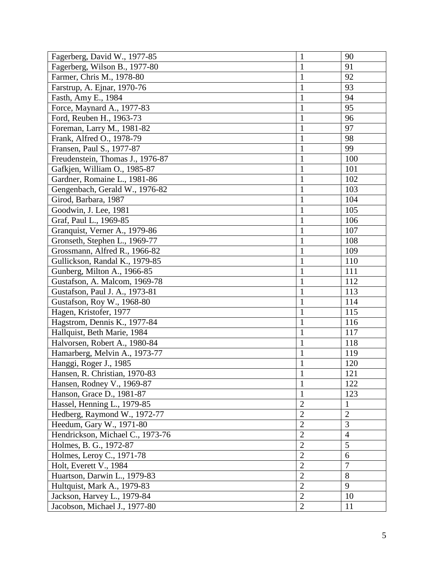| Fagerberg, David W., 1977-85     | $\mathbf{1}$   | 90             |
|----------------------------------|----------------|----------------|
| Fagerberg, Wilson B., 1977-80    | $\mathbf{1}$   | 91             |
| Farmer, Chris M., 1978-80        | $\mathbf{1}$   | 92             |
| Farstrup, A. Ejnar, 1970-76      | $\mathbf{1}$   | 93             |
| Fasth, Amy E., 1984              | $\mathbf{1}$   | 94             |
| Force, Maynard A., 1977-83       | $\mathbf{1}$   | 95             |
| Ford, Reuben H., 1963-73         | $\mathbf{1}$   | 96             |
| Foreman, Larry M., 1981-82       | 1              | 97             |
| Frank, Alfred O., 1978-79        | $\mathbf{1}$   | 98             |
| Fransen, Paul S., 1977-87        | $\mathbf{1}$   | 99             |
| Freudenstein, Thomas J., 1976-87 | $\mathbf{1}$   | 100            |
| Gafkjen, William O., 1985-87     | $\mathbf{1}$   | 101            |
| Gardner, Romaine L., 1981-86     | 1              | 102            |
| Gengenbach, Gerald W., 1976-82   | 1              | 103            |
| Girod, Barbara, 1987             | $\mathbf{1}$   | 104            |
| Goodwin, J. Lee, 1981            | $\mathbf{1}$   | 105            |
| Graf, Paul L., 1969-85           | $\mathbf{1}$   | 106            |
| Granquist, Verner A., 1979-86    | $\mathbf{1}$   | 107            |
| Gronseth, Stephen L., 1969-77    | $\mathbf{1}$   | 108            |
| Grossmann, Alfred R., 1966-82    | $\mathbf{1}$   | 109            |
| Gullickson, Randal K., 1979-85   | 1              | 110            |
| Gunberg, Milton A., 1966-85      | $\mathbf{1}$   | 111            |
| Gustafson, A. Malcom, 1969-78    | $\mathbf{1}$   | 112            |
| Gustafson, Paul J. A., 1973-81   | 1              | 113            |
| Gustafson, Roy W., 1968-80       | $\mathbf{1}$   | 114            |
| Hagen, Kristofer, 1977           | 1              | 115            |
| Hagstrom, Dennis K., 1977-84     | $\mathbf{1}$   | 116            |
| Hallquist, Beth Marie, 1984      | 1              | 117            |
| Halvorsen, Robert A., 1980-84    | $\mathbf{1}$   | 118            |
| Hamarberg, Melvin A., 1973-77    | $\mathbf{1}$   | 119            |
| Hanggi, Roger J., 1985           | $\mathbf{1}$   | 120            |
| Hansen, R. Christian, 1970-83    | $\overline{1}$ | 121            |
| Hansen, Rodney V., 1969-87       | $\mathbf{1}$   | 122            |
| Hanson, Grace D., 1981-87        | $\mathbf{1}$   | 123            |
| Hassel, Henning L., 1979-85      | $\overline{2}$ | 1              |
| Hedberg, Raymond W., 1972-77     | $\overline{2}$ | $\overline{2}$ |
| Heedum, Gary W., 1971-80         | $\overline{2}$ | 3              |
| Hendrickson, Michael C., 1973-76 | $\overline{2}$ | $\overline{4}$ |
| Holmes, B. G., 1972-87           | $\overline{2}$ | 5              |
| Holmes, Leroy C., 1971-78        | $\overline{2}$ | 6              |
| Holt, Everett V., 1984           | $\overline{2}$ | $\overline{7}$ |
| Huartson, Darwin L., 1979-83     | $\overline{2}$ | 8              |
| Hultquist, Mark A., 1979-83      | $\overline{2}$ | 9              |
| Jackson, Harvey L., 1979-84      | $\overline{2}$ | 10             |
| Jacobson, Michael J., 1977-80    | $\overline{2}$ | 11             |
|                                  |                |                |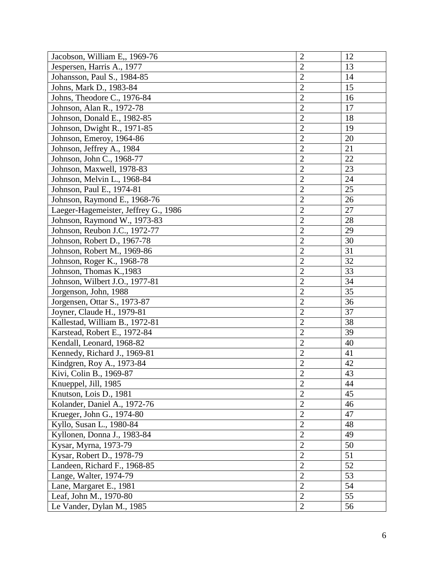| Jacobson, William E,, 1969-76        | $\overline{2}$ | 12 |
|--------------------------------------|----------------|----|
| Jespersen, Harris A., 1977           | $\overline{2}$ | 13 |
| Johansson, Paul S., 1984-85          | $\overline{2}$ | 14 |
| Johns, Mark D., 1983-84              | $\overline{c}$ | 15 |
| Johns, Theodore C., 1976-84          | $\overline{2}$ | 16 |
| Johnson, Alan R., 1972-78            | $\overline{2}$ | 17 |
| Johnson, Donald E., 1982-85          | $\overline{2}$ | 18 |
| Johnson, Dwight R., 1971-85          | $\overline{2}$ | 19 |
| Johnson, Emeroy, 1964-86             | $\overline{2}$ | 20 |
| Johnson, Jeffrey A., 1984            | $\overline{2}$ | 21 |
| Johnson, John C., 1968-77            | $\overline{2}$ | 22 |
| Johnson, Maxwell, 1978-83            | $\overline{2}$ | 23 |
| Johnson, Melvin L., 1968-84          | $\overline{2}$ | 24 |
| Johnson, Paul E., 1974-81            | $\overline{2}$ | 25 |
| Johnson, Raymond E., 1968-76         | $\overline{2}$ | 26 |
| Laeger-Hagemeister, Jeffrey G., 1986 | $\overline{2}$ | 27 |
| Johnson, Raymond W., 1973-83         | $\overline{2}$ | 28 |
| Johnson, Reubon J.C., 1972-77        | $\overline{2}$ | 29 |
| Johnson, Robert D., 1967-78          | $\overline{2}$ | 30 |
| Johnson, Robert M., 1969-86          | $\overline{2}$ | 31 |
| Johnson, Roger K., 1968-78           | $\overline{2}$ | 32 |
| Johnson, Thomas K., 1983             | $\overline{2}$ | 33 |
| Johnson, Wilbert J.O., 1977-81       | $\overline{2}$ | 34 |
| Jorgenson, John, 1988                | $\overline{2}$ | 35 |
| Jorgensen, Ottar S., 1973-87         | $\overline{2}$ | 36 |
| Joyner, Claude H., 1979-81           | $\overline{2}$ | 37 |
| Kallestad, William B., 1972-81       | $\overline{2}$ | 38 |
| Karstead, Robert E., 1972-84         | $\overline{2}$ | 39 |
| Kendall, Leonard, 1968-82            | $\overline{2}$ | 40 |
| Kennedy, Richard J., 1969-81         | $\overline{2}$ | 41 |
| Kindgren, Roy A., 1973-84            | $\overline{2}$ | 42 |
| Kivi, Colin B., 1969-87              | $\overline{2}$ | 43 |
| Knueppel, Jill, 1985                 | $\overline{2}$ | 44 |
| Knutson, Lois D., 1981               | $\overline{2}$ | 45 |
| Kolander, Daniel A., 1972-76         | $\overline{2}$ | 46 |
| Krueger, John G., 1974-80            | $\overline{2}$ | 47 |
| Kyllo, Susan L., 1980-84             | $\overline{2}$ | 48 |
| Kyllonen, Donna J., 1983-84          | $\overline{2}$ | 49 |
| Kysar, Myrna, 1973-79                | $\overline{2}$ | 50 |
| Kysar, Robert D., 1978-79            | $\overline{2}$ | 51 |
| Landeen, Richard F., 1968-85         | $\overline{2}$ | 52 |
| Lange, Walter, 1974-79               | $\overline{2}$ | 53 |
| Lane, Margaret E., 1981              | $\overline{2}$ | 54 |
| Leaf, John M., 1970-80               | $\overline{2}$ | 55 |
| Le Vander, Dylan M., 1985            | $\overline{2}$ | 56 |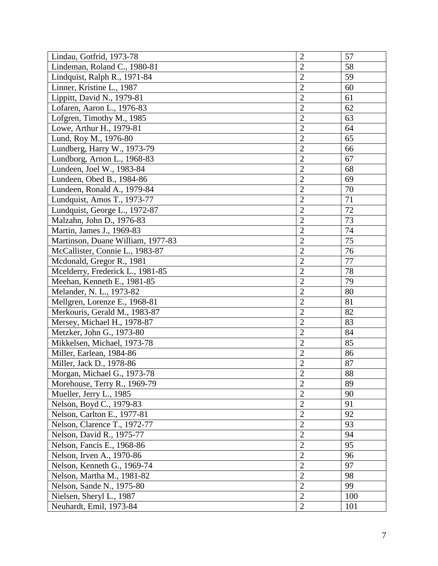| Lindau, Gotfrid, 1973-78          | $\overline{2}$ | 57  |
|-----------------------------------|----------------|-----|
| Lindeman, Roland C., 1980-81      | $\overline{2}$ | 58  |
| Lindquist, Ralph R., 1971-84      | $\overline{2}$ | 59  |
| Linner, Kristine L., 1987         | $\overline{2}$ | 60  |
| Lippitt, David N., 1979-81        | $\overline{2}$ | 61  |
| Lofaren, Aaron L., 1976-83        | $\overline{2}$ | 62  |
| Lofgren, Timothy M., 1985         | $\overline{2}$ | 63  |
| Lowe, Arthur H., 1979-81          | $\overline{2}$ | 64  |
| Lund, Roy M., 1976-80             | $\overline{2}$ | 65  |
| Lundberg, Harry W., 1973-79       | $\overline{2}$ | 66  |
| Lundborg, Arnon L., 1968-83       | $\overline{2}$ | 67  |
| Lundeen, Joel W., 1983-84         | $\overline{2}$ | 68  |
| Lundeen, Obed B., 1984-86         | $\overline{c}$ | 69  |
| Lundeen, Ronald A., 1979-84       | $\overline{2}$ | 70  |
| Lundquist, Amos T., 1973-77       | $\overline{2}$ | 71  |
| Lundquist, George L., 1972-87     | $\overline{2}$ | 72  |
| Malzahn, John D., 1976-83         | $\overline{2}$ | 73  |
| Martin, James J., 1969-83         | $\overline{2}$ | 74  |
| Martinson, Duane William, 1977-83 | $\overline{c}$ | 75  |
| McCallister, Connie L., 1983-87   | $\overline{2}$ | 76  |
| Mcdonald, Gregor R., 1981         | $\overline{2}$ | 77  |
| Mcelderry, Frederick L., 1981-85  | $\overline{2}$ | 78  |
| Meehan, Kenneth E., 1981-85       | $\overline{2}$ | 79  |
| Melander, N. L., 1973-82          | $\overline{2}$ | 80  |
| Mellgren, Lorenze E., 1968-81     | $\overline{2}$ | 81  |
| Merkouris, Gerald M., 1983-87     | $\overline{2}$ | 82  |
| Mersey, Michael H., 1978-87       | $\overline{2}$ | 83  |
| Metzker, John G., 1973-80         | $\overline{2}$ | 84  |
| Mikkelsen, Michael, 1973-78       | $\overline{c}$ | 85  |
| Miller, Earlean, 1984-86          | $\overline{2}$ | 86  |
| Miller, Jack D., 1978-86          | $\overline{2}$ | 87  |
| Morgan, Michael G., 1973-78       | $\overline{2}$ | 88  |
| Morehouse, Terry R., 1969-79      | $\overline{2}$ | 89  |
| Mueller, Jerry L., 1985           | $\overline{2}$ | 90  |
| Nelson, Boyd C., 1979-83          | $\overline{2}$ | 91  |
| Nelson, Carlton E., 1977-81       | $\overline{2}$ | 92  |
| Nelson, Clarence T., 1972-77      | $\overline{2}$ | 93  |
| Nelson, David R., 1975-77         | $\overline{2}$ | 94  |
| Nelson, Fancis E., 1968-86        | $\overline{2}$ | 95  |
| Nelson, Irven A., 1970-86         | $\overline{2}$ | 96  |
| Nelson, Kenneth G., 1969-74       | $\overline{2}$ | 97  |
| Nelson, Martha M., 1981-82        | $\overline{2}$ | 98  |
| Nelson, Sande N., 1975-80         | $\overline{2}$ | 99  |
| Nielsen, Sheryl L., 1987          | $\overline{2}$ | 100 |
| Neuhardt, Emil, 1973-84           | $\overline{2}$ | 101 |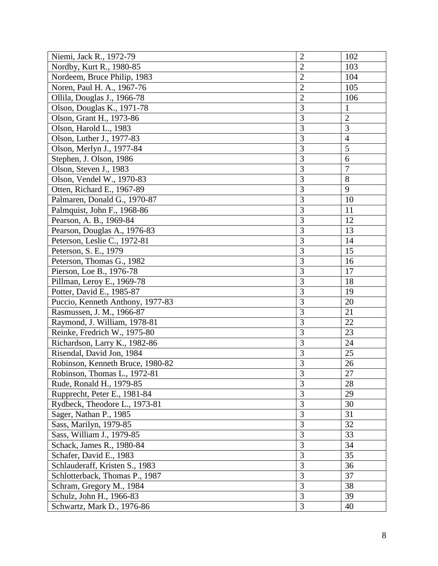| Niemi, Jack R., 1972-79          | $\overline{2}$ | 102            |
|----------------------------------|----------------|----------------|
| Nordby, Kurt R., 1980-85         | $\overline{2}$ | 103            |
| Nordeem, Bruce Philip, 1983      | $\overline{2}$ | 104            |
| Noren, Paul H. A., 1967-76       | $\overline{2}$ | 105            |
| Ollila, Douglas J., 1966-78      | $\overline{2}$ | 106            |
| Olson, Douglas K., 1971-78       | 3              | 1              |
| Olson, Grant H., 1973-86         | 3              | $\overline{2}$ |
| Olson, Harold L., 1983           | $\overline{3}$ | 3              |
| Olson, Luther J., 1977-83        | $\overline{3}$ | $\overline{4}$ |
| Olson, Merlyn J., 1977-84        | $\overline{3}$ | 5              |
| Stephen, J. Olson, 1986          | $\overline{3}$ | 6              |
| Olson, Steven J., 1983           | $\overline{3}$ | $\overline{7}$ |
| Olson, Vendel W., 1970-83        | 3              | 8              |
| Otten, Richard E., 1967-89       | $\overline{3}$ | 9              |
| Palmaren, Donald G., 1970-87     | $\overline{3}$ | 10             |
| Palmquist, John F., 1968-86      | 3              | 11             |
| Pearson, A. B., 1969-84          | $\overline{3}$ | 12             |
| Pearson, Douglas A., 1976-83     | 3              | 13             |
| Peterson, Leslie C., 1972-81     | $\overline{3}$ | 14             |
| Peterson, S. E., 1979            | 3              | 15             |
| Peterson, Thomas G., 1982        | 3              | 16             |
| Pierson, Loe B., 1976-78         | 3              | 17             |
| Pillman, Leroy E., 1969-78       | 3              | 18             |
| Potter, David E., 1985-87        | $\overline{3}$ | 19             |
| Puccio, Kenneth Anthony, 1977-83 | $\overline{3}$ | 20             |
| Rasmussen, J. M., 1966-87        | $\overline{3}$ | 21             |
| Raymond, J. William, 1978-81     | 3              | 22             |
| Reinke, Fredrich W., 1975-80     | $\overline{3}$ | 23             |
| Richardson, Larry K., 1982-86    | $\overline{3}$ | 24             |
| Risendal, David Jon, 1984        | 3              | 25             |
| Robinson, Kenneth Bruce, 1980-82 | 3              | 26             |
| Robinson, Thomas L., 1972-81     | $\overline{3}$ | 27             |
| Rude, Ronald H., 1979-85         | $\overline{3}$ | 28             |
| Rupprecht, Peter E., 1981-84     | $\overline{3}$ | 29             |
| Rydbeck, Theodore L., 1973-81    | $\overline{3}$ | 30             |
| Sager, Nathan P., 1985           | $\overline{3}$ | 31             |
| Sass, Marilyn, 1979-85           | $\overline{3}$ | 32             |
| Sass, William J., 1979-85        | $\overline{3}$ | 33             |
| Schack, James R., 1980-84        | $\overline{3}$ | 34             |
| Schafer, David E., 1983          | $\overline{3}$ | 35             |
| Schlauderaff, Kristen S., 1983   | $\overline{3}$ | 36             |
| Schlotterback, Thomas P., 1987   | $\overline{3}$ | 37             |
| Schram, Gregory M., 1984         | $\overline{3}$ | 38             |
| Schulz, John H., 1966-83         | 3              | 39             |
| Schwartz, Mark D., 1976-86       | $\overline{3}$ | 40             |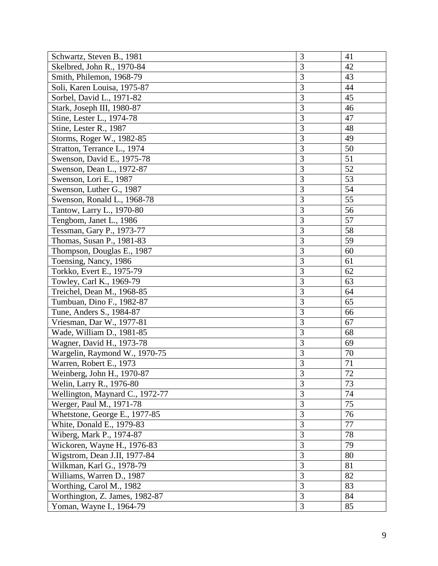| Schwartz, Steven B., 1981       | 3              | 41              |
|---------------------------------|----------------|-----------------|
| Skelbred, John R., 1970-84      | 3              | 42              |
| Smith, Philemon, 1968-79        | 3              | 43              |
| Soli, Karen Louisa, 1975-87     | 3              | 44              |
| Sorbel, David L., 1971-82       | 3              | 45              |
| Stark, Joseph III, 1980-87      | 3              | 46              |
| Stine, Lester L., 1974-78       | 3              | 47              |
| Stine, Lester R., 1987          | 3              | 48              |
| Storms, Roger W., 1982-85       | $\overline{3}$ | 49              |
| Stratton, Terrance L., 1974     | 3              | 50              |
| Swenson, David E., 1975-78      | 3              | 51              |
| Swenson, Dean L., 1972-87       | $\overline{3}$ | 52              |
| Swenson, Lori E., 1987          | 3              | 53              |
| Swenson, Luther G., 1987        | $\overline{3}$ | 54              |
| Swenson, Ronald L., 1968-78     | 3              | 55              |
| Tantow, Larry L., 1970-80       | 3              | 56              |
| Tengbom, Janet L., 1986         | 3              | 57              |
| Tessman, Gary P., 1973-77       | 3              | 58              |
| Thomas, Susan P., 1981-83       | 3              | 59              |
| Thompson, Douglas E., 1987      | 3              | 60              |
| Toensing, Nancy, 1986           | 3              | 61              |
| Torkko, Evert E., 1975-79       | 3              | 62              |
| Towley, Carl K., 1969-79        | 3              | 63              |
| Treichel, Dean M., 1968-85      | $\overline{3}$ | 64              |
| Tumbuan, Dino F., 1982-87       | $\overline{3}$ | 65              |
| Tune, Anders S., 1984-87        | 3              | 66              |
| Vriesman, Dar W., 1977-81       | 3              | 67              |
| Wade, William D., 1981-85       | 3              | 68              |
| Wagner, David H., 1973-78       | $\overline{3}$ | 69              |
| Wargelin, Raymond W., 1970-75   | 3              | 70              |
| Warren, Robert E., 1973         | 3              | 71              |
| Weinberg, John H., 1970-87      | $\overline{3}$ | $\overline{72}$ |
| Welin, Larry R., 1976-80        | 3              | 73              |
| Wellington, Maynard C., 1972-77 | 3              | 74              |
| Werger, Paul M., 1971-78        | 3              | 75              |
| Whetstone, George E., 1977-85   | 3              | 76              |
| White, Donald E., 1979-83       | $\overline{3}$ | 77              |
| Wiberg, Mark P., 1974-87        | $\overline{3}$ | 78              |
| Wickoren, Wayne H., 1976-83     | $\overline{3}$ | 79              |
| Wigstrom, Dean J.II, 1977-84    | $\overline{3}$ | 80              |
| Wilkman, Karl G., 1978-79       | $\overline{3}$ | 81              |
| Williams, Warren D., 1987       | $\overline{3}$ | 82              |
| Worthing, Carol M., 1982        | $\overline{3}$ | 83              |
| Worthington, Z. James, 1982-87  | 3              | 84              |
| Yoman, Wayne I., 1964-79        | 3              | 85              |